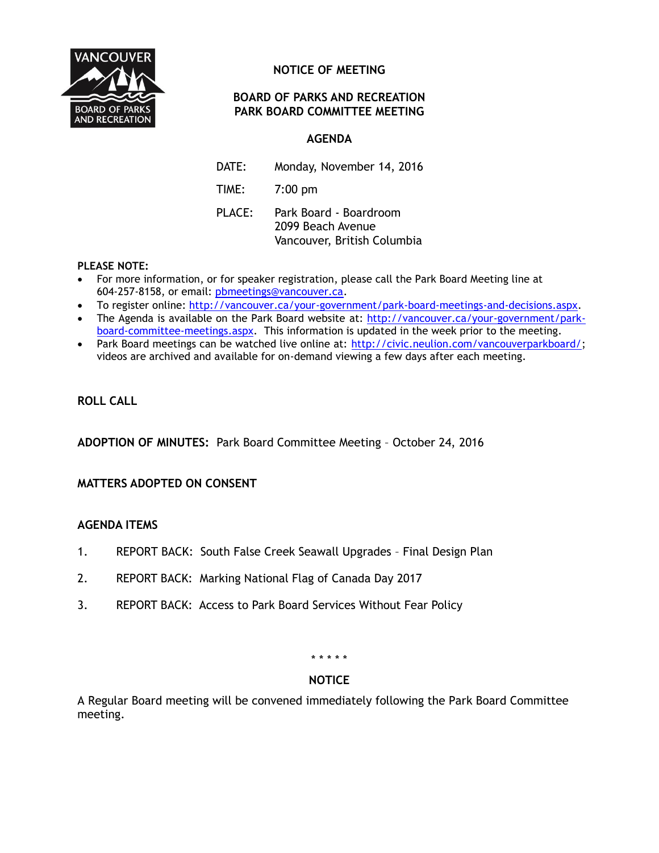

# **NOTICE OF MEETING**

# **BOARD OF PARKS AND RECREATION PARK BOARD COMMITTEE MEETING**

# **AGENDA**

DATE: Monday, November 14, 2016 TIME: 7:00 pm PLACE: Park Board - Boardroom

2099 Beach Avenue Vancouver, British Columbia

## **PLEASE NOTE:**

- For more information, or for speaker registration, please call the Park Board Meeting line at 604-257-8158, or email: [pbmeetings@vancouver.ca.](mailto:pbmeetings@vancouver.ca)
- To register online: [http://vancouver.ca/your-government/park-board-meetings-and-decisions.aspx.](http://vancouver.ca/your-government/park-board-meetings-and-decisions.aspx)
- The Agenda is available on the Park Board website at: [http://vancouver.ca/your-government/park](http://vancouver.ca/your-government/park-board-committee-meetings.aspx)[board-committee-meetings.aspx.](http://vancouver.ca/your-government/park-board-committee-meetings.aspx) This information is updated in the week prior to the meeting.
- Park Board meetings can be watched live online at: [http://civic.neulion.com/vancouverparkboard/;](http://civic.neulion.com/vancouverparkboard/) videos are archived and available for on-demand viewing a few days after each meeting.

# **ROLL CALL**

**ADOPTION OF MINUTES:** Park Board Committee Meeting – October 24, 2016

# **MATTERS ADOPTED ON CONSENT**

## **AGENDA ITEMS**

- 1. REPORT BACK: South False Creek Seawall Upgrades Final Design Plan
- 2. REPORT BACK: Marking National Flag of Canada Day 2017
- 3. REPORT BACK: Access to Park Board Services Without Fear Policy

#### \* \* \* \* \*

## **NOTICE**

A Regular Board meeting will be convened immediately following the Park Board Committee meeting.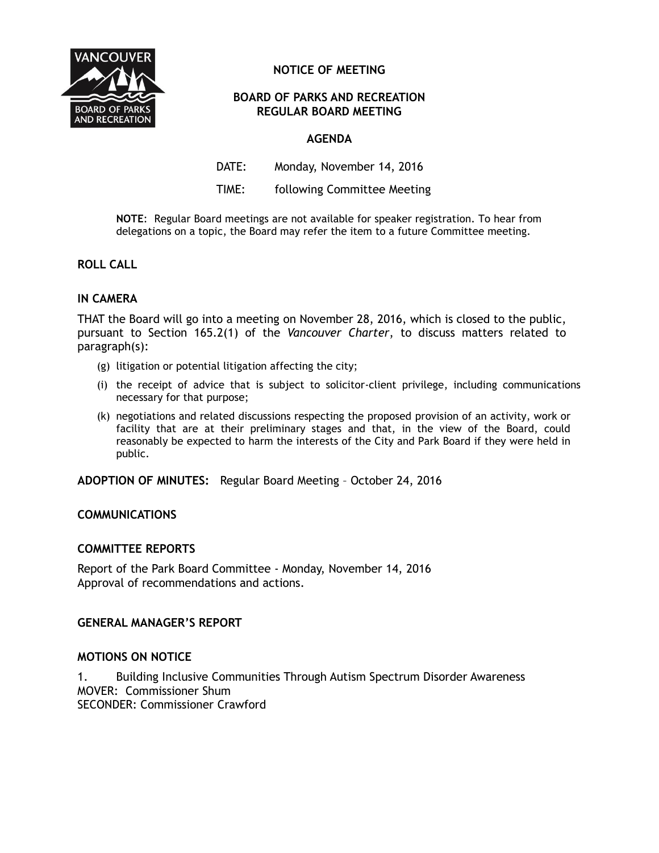

# **NOTICE OF MEETING**

## **BOARD OF PARKS AND RECREATION REGULAR BOARD MEETING**

# **AGENDA**

DATE: Monday, November 14, 2016

TIME: following Committee Meeting

**NOTE**:Regular Board meetings are not available for speaker registration. To hear from delegations on a topic, the Board may refer the item to a future Committee meeting.

## **ROLL CALL**

# **IN CAMERA**

THAT the Board will go into a meeting on November 28, 2016, which is closed to the public, pursuant to Section 165.2(1) of the *Vancouver Charter*, to discuss matters related to paragraph(s):

- (g) litigation or potential litigation affecting the city;
- (i) the receipt of advice that is subject to solicitor-client privilege, including communications necessary for that purpose;
- (k) negotiations and related discussions respecting the proposed provision of an activity, work or facility that are at their preliminary stages and that, in the view of the Board, could reasonably be expected to harm the interests of the City and Park Board if they were held in public.

**ADOPTION OF MINUTES:** Regular Board Meeting – October 24, 2016

## **COMMUNICATIONS**

## **COMMITTEE REPORTS**

Report of the Park Board Committee - Monday, November 14, 2016 Approval of recommendations and actions.

## **GENERAL MANAGER'S REPORT**

## **MOTIONS ON NOTICE**

1. Building Inclusive Communities Through Autism Spectrum Disorder Awareness MOVER: Commissioner Shum SECONDER: Commissioner Crawford